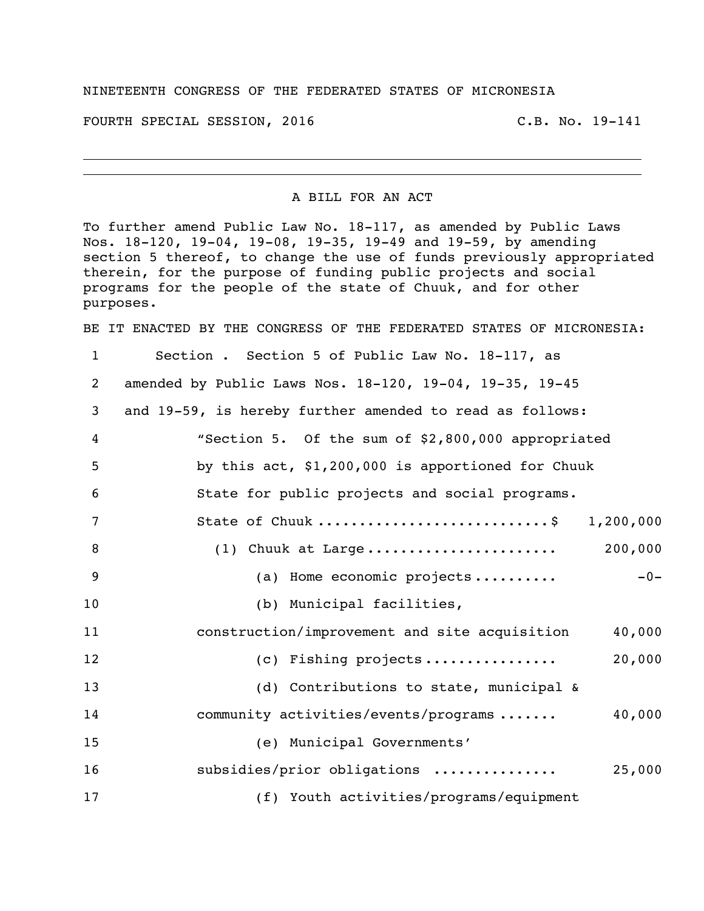## NINETEENTH CONGRESS OF THE FEDERATED STATES OF MICRONESIA

FOURTH SPECIAL SESSION, 2016 C.B. No. 19-141

## A BILL FOR AN ACT

To further amend Public Law No. 18-117, as amended by Public Laws Nos. 18-120, 19-04, 19-08, 19-35, 19-49 and 19-59, by amending section 5 thereof, to change the use of funds previously appropriated therein, for the purpose of funding public projects and social programs for the people of the state of Chuuk, and for other purposes.

BE IT ENACTED BY THE CONGRESS OF THE FEDERATED STATES OF MICRONESIA:

 Section . Section 5 of Public Law No. 18-117, as amended by Public Laws Nos. 18-120, 19-04, 19-35, 19-45 and 19-59, is hereby further amended to read as follows: "Section 5. Of the sum of \$2,800,000 appropriated by this act, \$1,200,000 is apportioned for Chuuk State for public projects and social programs. State of Chuuk ............................\$ 1,200,000 (1) Chuuk at Large ....................... 200,000 9 (a) Home economic projects .......... -0-10 (b) Municipal facilities, construction/improvement and site acquisition 40,000 (c) Fishing projects ................ 20,000 13 (d) Contributions to state, municipal & 14 community activities/events/programs....... 40,000 (e) Municipal Governments' subsidies/prior obligations ............... 25,000 (f) Youth activities/programs/equipment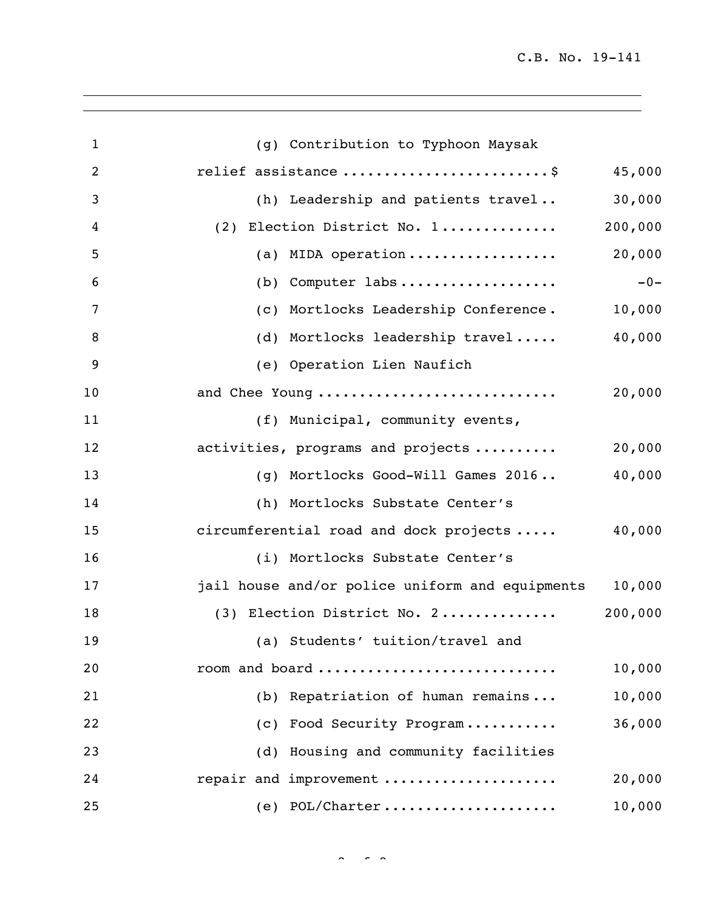C.B. No. 19-141

| $\mathbf{1}$ | (g) Contribution to Typhoon Maysak              |         |
|--------------|-------------------------------------------------|---------|
| 2            | relief assistance \$                            | 45,000  |
| 3            | (h) Leadership and patients travel              | 30,000  |
| 4            | (2) Election District No. 1                     | 200,000 |
| 5            | (a) MIDA operation                              | 20,000  |
| 6            | $(b)$ Computer labs                             | $-0-$   |
| 7            | (c) Mortlocks Leadership Conference.            | 10,000  |
| 8            | (d) Mortlocks leadership travel                 | 40,000  |
| 9            | (e) Operation Lien Naufich                      |         |
| 10           | and Chee Young                                  | 20,000  |
| 11           | (f) Municipal, community events,                |         |
| 12           | activities, programs and projects               | 20,000  |
| 13           | (g) Mortlocks Good-Will Games 2016              | 40,000  |
| 14           | (h) Mortlocks Substate Center's                 |         |
| 15           | circumferential road and dock projects          | 40,000  |
| 16           | (i) Mortlocks Substate Center's                 |         |
| 17           | jail house and/or police uniform and equipments | 10,000  |
| 18           | (3) Election District No. 2                     | 200,000 |
| 19           | (a) Students' tuition/travel and                |         |
| 20           | room and board                                  | 10,000  |
| 21           | (b) Repatriation of human remains               | 10,000  |
| 22           | (c) Food Security Program                       | 36,000  |
| 23           | (d) Housing and community facilities            |         |
| 24           | repair and improvement                          | 20,000  |
| 25           | $(e)$ POL/Charter                               | 10,000  |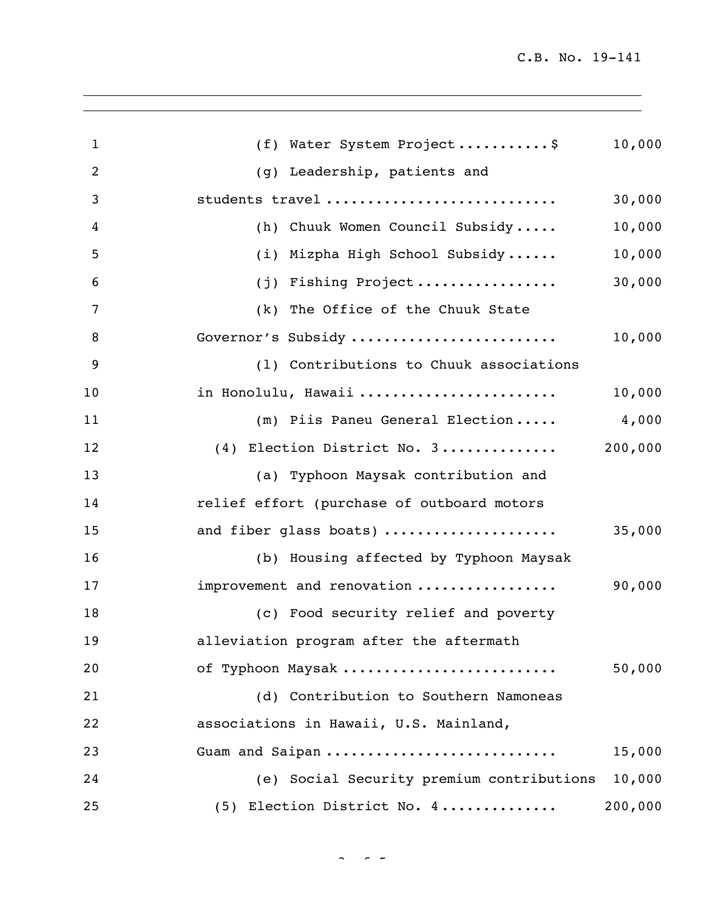| 1  | (f) Water System Project\$                 | 10,000  |
|----|--------------------------------------------|---------|
| 2  | (g) Leadership, patients and               |         |
| 3  | students travel                            | 30,000  |
| 4  | (h) Chuuk Women Council Subsidy            | 10,000  |
| 5  | (i) Mizpha High School Subsidy             | 10,000  |
| 6  | (j) Fishing Project                        | 30,000  |
| 7  | (k) The Office of the Chuuk State          |         |
| 8  | Governor's Subsidy                         | 10,000  |
| 9  | (1) Contributions to Chuuk associations    |         |
| 10 | in Honolulu, Hawaii                        | 10,000  |
| 11 | (m) Piis Paneu General Election            | 4,000   |
| 12 | (4) Election District No. 3                | 200,000 |
| 13 | (a) Typhoon Maysak contribution and        |         |
| 14 | relief effort (purchase of outboard motors |         |
| 15 | and fiber glass boats)                     | 35,000  |
| 16 | (b) Housing affected by Typhoon Maysak     |         |
| 17 | improvement and renovation                 | 90,000  |
| 18 | (c) Food security relief and poverty       |         |
| 19 | alleviation program after the aftermath    |         |
| 20 | of Typhoon Maysak                          | 50,000  |
| 21 | (d) Contribution to Southern Namoneas      |         |
| 22 | associations in Hawaii, U.S. Mainland,     |         |
| 23 | Guam and Saipan                            | 15,000  |
| 24 | (e) Social Security premium contributions  | 10,000  |
| 25 | (5) Election District No. 4                | 200,000 |

 $3 \times 5 =$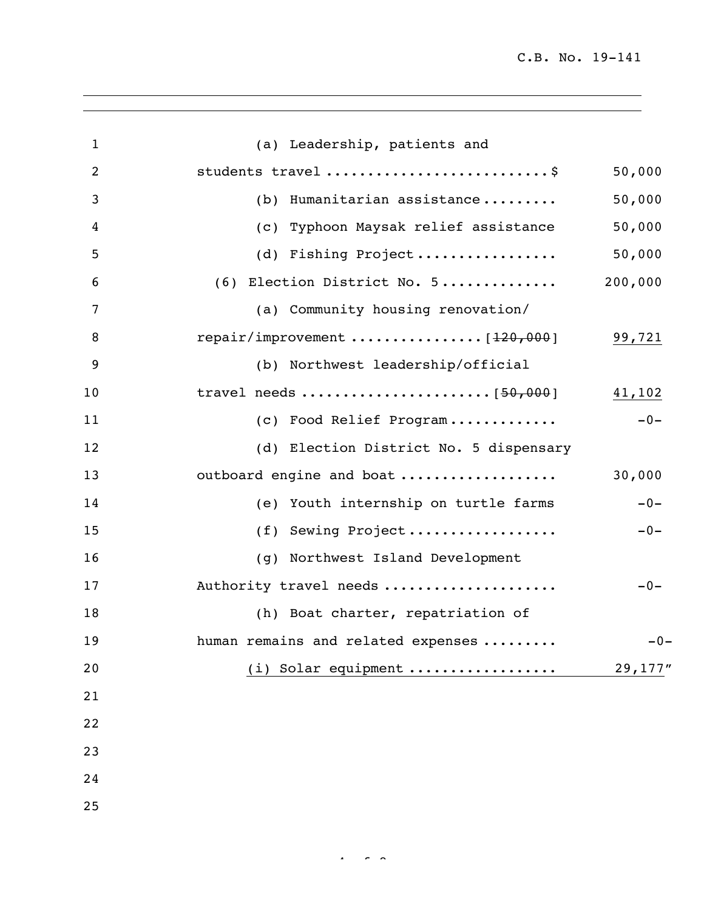| $\mathbf{1}$   | (a) Leadership, patients and           |         |
|----------------|----------------------------------------|---------|
| $\overline{2}$ | students travel \$                     | 50,000  |
| 3              | (b) Humanitarian assistance            | 50,000  |
| 4              | (c) Typhoon Maysak relief assistance   | 50,000  |
| 5              | (d) Fishing Project                    | 50,000  |
| 6              | (6) Election District No. 5            | 200,000 |
| 7              | (a) Community housing renovation/      |         |
| 8              |                                        | 99,721  |
| 9              | (b) Northwest leadership/official      |         |
| 10             |                                        | 41,102  |
| 11             | (c) Food Relief Program                | $-0-$   |
| 12             | (d) Election District No. 5 dispensary |         |
| 13             | outboard engine and boat               | 30,000  |
| 14             | (e) Youth internship on turtle farms   | $-0-$   |
| 15             | (f) Sewing Project                     | $-0-$   |
| 16             | (g) Northwest Island Development       |         |
| 17             | Authority travel needs                 | $-0-$   |
| 18             | (h) Boat charter, repatriation of      |         |
| 19             | human remains and related expenses     | $-0-$   |
| 20             | (i) Solar equipment                    | 29,177" |
| 21             |                                        |         |
| 22             |                                        |         |
| 23             |                                        |         |
| 24             |                                        |         |
| 25             |                                        |         |